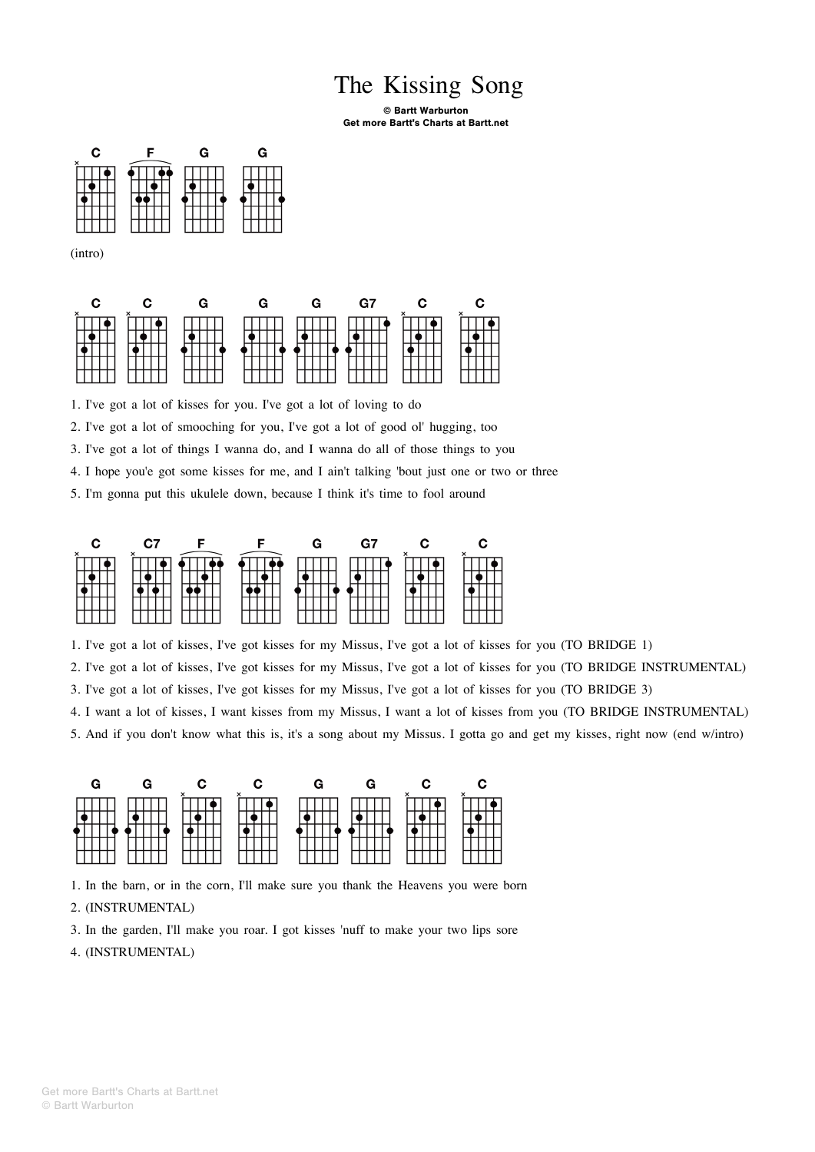## The Kissing Song

## © Bartt Warburton Get more Bartt's Charts at Bartt.net



(intro)

| r. | G | G – | G – | G7 | $\mathbf{C}$ |  |
|----|---|-----|-----|----|--------------|--|
|    |   |     |     |    |              |  |

1. I've got a lot of kisses for you. I've got a lot of loving to do

2. I've got a lot of smooching for you, I've got a lot of good ol' hugging, too

3. I've got a lot of things I wanna do, and I wanna do all of those things to you

4. I hope you'e got some kisses for me, and I ain't talking 'bout just one or two or three

5. I'm gonna put this ukulele down, because I think it's time to fool around



1. I've got a lot of kisses, I've got kisses for my Missus, I've got a lot of kisses for you (TO BRIDGE 1)

2. I've got a lot of kisses, I've got kisses for my Missus, I've got a lot of kisses for you (TO BRIDGE INSTRUMENTAL)

3. I've got a lot of kisses, I've got kisses for my Missus, I've got a lot of kisses for you (TO BRIDGE 3)

4. I want a lot of kisses, I want kisses from my Missus, I want a lot of kisses from you (TO BRIDGE INSTRUMENTAL)

5. And if you don't know what this is, it's a song about my Missus. I gotta go and get my kisses, right now (end w/intro)



1. In the barn, or in the corn, I'll make sure you thank the Heavens you were born

## 2. (INSTRUMENTAL)

3. In the garden, I'll make you roar. I got kisses 'nuff to make your two lips sore

4. (INSTRUMENTAL)

© Bartt Warburton Get more Bartt's Charts at Bartt.net